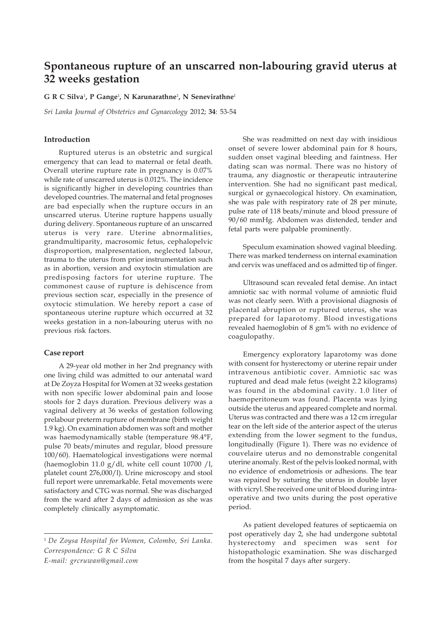# **Spontaneous rupture of an unscarred non-labouring gravid uterus at 32 weeks gestation**

**G R C Silva**<sup>1</sup> **, P Gange**<sup>1</sup> **, N Karunarathne**<sup>1</sup> **, N Senevirathne**<sup>1</sup>

*Sri Lanka Journal of Obstetrics and Gynaecology* 2012; **34**: 53-54

### **Introduction**

Ruptured uterus is an obstetric and surgical emergency that can lead to maternal or fetal death. Overall uterine rupture rate in pregnancy is 0.07% while rate of unscarred uterus is 0.012%. The incidence is significantly higher in developing countries than developed countries. The maternal and fetal prognoses are bad especially when the rupture occurs in an unscarred uterus. Uterine rupture happens usually during delivery. Spontaneous rupture of an unscarred uterus is very rare. Uterine abnormalities, grandmultiparity, macrosomic fetus, cephalopelvic disproportion, malpresentation, neglected labour, trauma to the uterus from prior instrumentation such as in abortion, version and oxytocin stimulation are predisposing factors for uterine rupture. The commonest cause of rupture is dehiscence from previous section scar, especially in the presence of oxytocic stimulation. We hereby report a case of spontaneous uterine rupture which occurred at 32 weeks gestation in a non-labouring uterus with no previous risk factors.

### **Case report**

A 29-year old mother in her 2nd pregnancy with one living child was admitted to our antenatal ward at De Zoyza Hospital for Women at 32 weeks gestation with non specific lower abdominal pain and loose stools for 2 days duration. Previous delivery was a vaginal delivery at 36 weeks of gestation following prelabour preterm rupture of membrane (birth weight 1.9 kg). On examination abdomen was soft and mother was haemodynamically stable (temperature 98.4°F, pulse 70 beats/minutes and regular, blood pressure 100/60). Haematological investigations were normal (haemoglobin 11.0 g/dl, white cell count 10700 /l, platelet count 276,000/l). Urine microscopy and stool full report were unremarkable. Fetal movements were satisfactory and CTG was normal. She was discharged from the ward after 2 days of admission as she was completely clinically asymptomatic.

<sup>1</sup> *De Zoysa Hospital for Women, Colombo, Sri Lanka. Correspondence: G R C Silva E-mail: grcruwan@gmail.com*

She was readmitted on next day with insidious onset of severe lower abdominal pain for 8 hours, sudden onset vaginal bleeding and faintness. Her dating scan was normal. There was no history of trauma, any diagnostic or therapeutic intrauterine intervention. She had no significant past medical, surgical or gynaecological history. On examination, she was pale with respiratory rate of 28 per minute, pulse rate of 118 beats/minute and blood pressure of 90/60 mmHg. Abdomen was distended, tender and fetal parts were palpable prominently.

Speculum examination showed vaginal bleeding. There was marked tenderness on internal examination and cervix was uneffaced and os admitted tip of finger.

Ultrasound scan revealed fetal demise. An intact amniotic sac with normal volume of amniotic fluid was not clearly seen. With a provisional diagnosis of placental abruption or ruptured uterus, she was prepared for laparotomy. Blood investigations revealed haemoglobin of 8 gm% with no evidence of coagulopathy.

Emergency exploratory laparotomy was done with consent for hysterectomy or uterine repair under intravenous antibiotic cover. Amniotic sac was ruptured and dead male fetus (weight 2.2 kilograms) was found in the abdominal cavity. 1.0 liter of haemoperitoneum was found. Placenta was lying outside the uterus and appeared complete and normal. Uterus was contracted and there was a 12 cm irregular tear on the left side of the anterior aspect of the uterus extending from the lower segment to the fundus, longitudinally (Figure 1). There was no evidence of couvelaire uterus and no demonstrable congenital uterine anomaly. Rest of the pelvis looked normal, with no evidence of endometriosis or adhesions. The tear was repaired by suturing the uterus in double layer with vicryl. She received one unit of blood during intraoperative and two units during the post operative period.

As patient developed features of septicaemia on post operatively day 2, she had undergone subtotal hysterectomy and specimen was sent for histopathologic examination. She was discharged from the hospital 7 days after surgery.